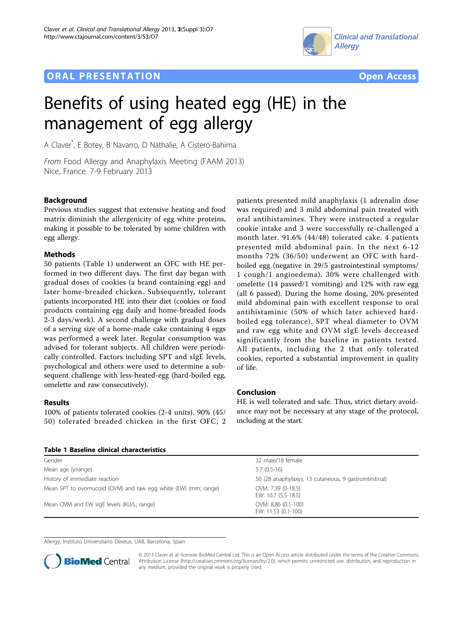## **ORAL PRESENTATION OPEN ACCESS**





# Benefits of using heated egg (HE) in the management of egg allergy

A Claver\* , E Botey, B Navarro, D Nathalie, A Cistero-Bahima

From Food Allergy and Anaphylaxis Meeting (FAAM 2013) Nice, France. 7-9 February 2013

#### Background

Previous studies suggest that extensive heating and food matrix diminish the allergenicity of egg white proteins, making it possible to be tolerated by some children with egg allergy.

#### Methods

50 patients (Table 1) underwent an OFC with HE performed in two different days. The first day began with gradual doses of cookies (a brand containing egg) and later home-breaded chicken. Subsequently, tolerant patients incorporated HE into their diet (cookies or food products containing egg daily and home-breaded foods 2-3 days/week). A second challenge with gradual doses of a serving size of a home-made cake containing 4 eggs was performed a week later. Regular consumption was advised for tolerant subjects. All children were periodically controlled. Factors including SPT and sIgE levels, psychological and others were used to determine a subsequent challenge with less-heated-egg (hard-boiled egg, omelette and raw consecutively).

#### Results

100% of patients tolerated cookies (2-4 units). 90% (45/ 50) tolerated breaded chicken in the first OFC; 2

patients presented mild anaphylaxis (1 adrenalin dose was required) and 3 mild abdominal pain treated with oral antihistamines. They were instructed a regular cookie intake and 3 were successfully re-challenged a month later. 91.6% (44/48) tolerated cake. 4 patients presented mild abdominal pain. In the next 6-12 months 72% (36/50) underwent an OFC with hardboiled egg (negative in 29/5 gastrointestinal symptoms/ 1 cough/1 angioedema). 30% were challenged with omelette (14 passed/1 vomiting) and 12% with raw egg (all 6 passed). During the home dosing, 20% presented mild abdominal pain with excellent response to oral antihistaminic (50% of which later achieved hardboiled egg tolerance). SPT wheal diameter to OVM and raw egg white and OVM sIgE levels decreased significantly from the baseline in patients tested. All patients, including the 2 that only tolerated cookies, reported a substantial improvement in quality of life.

#### Conclusion

HE is well tolerated and safe. Thus, strict dietary avoidance may not be necessary at any stage of the protocol, including at the start.

| Table 1 Baseline clinical characteristics                      |                                                       |
|----------------------------------------------------------------|-------------------------------------------------------|
| Gender                                                         | 32 male/18 female                                     |
| Mean age (y;range)                                             | $5.7(0.5-16)$                                         |
| History of immediate reaction                                  | 50 (28 anaphylaxys, 13 cutaneous, 9 gastrointestinal) |
| Mean SPT to ovomucoid (OVM) and raw egg white (EW) (mm; range) | OVM: 7.39 (0-18.5)<br>EW: 10.7 (5.5-18.5)             |
| Mean OVM and EW slgE levels (KU/L; range)                      | OVM: 8.86 (0.1-100)<br>EW: 11.53 (0.1-100)            |

Allergy, Instituto Universitario Dexeus. UAB, Barcelona, Spain



© 2013 Claver et al; licensee BioMed Central Ltd. This is an Open Access article distributed under the terms of the Creative Commons Attribution License [\(http://creativecommons.org/licenses/by/2.0](http://creativecommons.org/licenses/by/2.0)), which permits unrestricted use, distribution, and reproduction in any medium, provided the original work is properly cited.